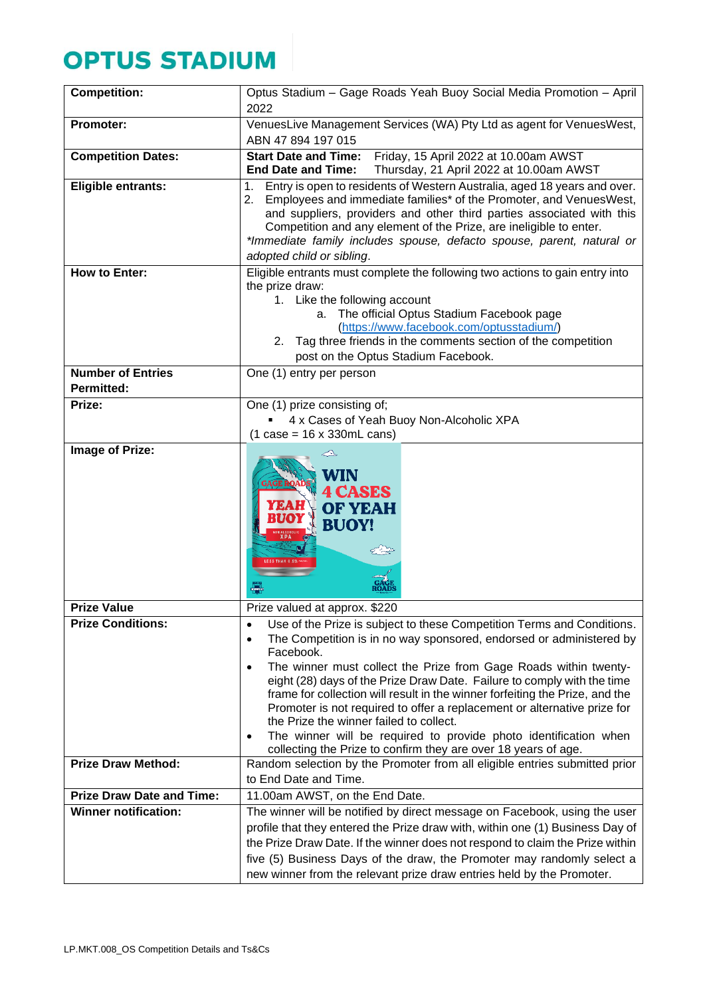## **OPTUS STADIUM**

| <b>Competition:</b>                                             | Optus Stadium - Gage Roads Yeah Buoy Social Media Promotion - April<br>2022                                                                                                                                                                                                                                                                                                                                                                                                                                                                                                                                                                                                                        |
|-----------------------------------------------------------------|----------------------------------------------------------------------------------------------------------------------------------------------------------------------------------------------------------------------------------------------------------------------------------------------------------------------------------------------------------------------------------------------------------------------------------------------------------------------------------------------------------------------------------------------------------------------------------------------------------------------------------------------------------------------------------------------------|
| <b>Promoter:</b>                                                | VenuesLive Management Services (WA) Pty Ltd as agent for VenuesWest,                                                                                                                                                                                                                                                                                                                                                                                                                                                                                                                                                                                                                               |
|                                                                 | ABN 47 894 197 015                                                                                                                                                                                                                                                                                                                                                                                                                                                                                                                                                                                                                                                                                 |
| <b>Competition Dates:</b>                                       | Friday, 15 April 2022 at 10.00am AWST<br><b>Start Date and Time:</b><br><b>End Date and Time:</b><br>Thursday, 21 April 2022 at 10.00am AWST                                                                                                                                                                                                                                                                                                                                                                                                                                                                                                                                                       |
| Eligible entrants:                                              | Entry is open to residents of Western Australia, aged 18 years and over.<br>1.<br>Employees and immediate families* of the Promoter, and VenuesWest,<br>2.<br>and suppliers, providers and other third parties associated with this<br>Competition and any element of the Prize, are ineligible to enter.<br>*Immediate family includes spouse, defacto spouse, parent, natural or<br>adopted child or sibling.                                                                                                                                                                                                                                                                                    |
| <b>How to Enter:</b>                                            | Eligible entrants must complete the following two actions to gain entry into<br>the prize draw:                                                                                                                                                                                                                                                                                                                                                                                                                                                                                                                                                                                                    |
|                                                                 | 1. Like the following account                                                                                                                                                                                                                                                                                                                                                                                                                                                                                                                                                                                                                                                                      |
|                                                                 | a. The official Optus Stadium Facebook page                                                                                                                                                                                                                                                                                                                                                                                                                                                                                                                                                                                                                                                        |
|                                                                 | (https://www.facebook.com/optusstadium/)                                                                                                                                                                                                                                                                                                                                                                                                                                                                                                                                                                                                                                                           |
|                                                                 | 2. Tag three friends in the comments section of the competition<br>post on the Optus Stadium Facebook.                                                                                                                                                                                                                                                                                                                                                                                                                                                                                                                                                                                             |
| <b>Number of Entries</b>                                        | One (1) entry per person                                                                                                                                                                                                                                                                                                                                                                                                                                                                                                                                                                                                                                                                           |
| <b>Permitted:</b>                                               |                                                                                                                                                                                                                                                                                                                                                                                                                                                                                                                                                                                                                                                                                                    |
| Prize:                                                          | One (1) prize consisting of;                                                                                                                                                                                                                                                                                                                                                                                                                                                                                                                                                                                                                                                                       |
|                                                                 | 4 x Cases of Yeah Buoy Non-Alcoholic XPA                                                                                                                                                                                                                                                                                                                                                                                                                                                                                                                                                                                                                                                           |
| Image of Prize:                                                 | $(1 \cose = 16 \times 330 \text{m}$ L cans)                                                                                                                                                                                                                                                                                                                                                                                                                                                                                                                                                                                                                                                        |
|                                                                 | WIN<br><b>GAGE ROA</b><br><b>CASES</b><br><b>OF YEAH</b><br><b>BUOY!</b><br>€B                                                                                                                                                                                                                                                                                                                                                                                                                                                                                                                                                                                                                     |
| <b>Prize Value</b>                                              | Prize valued at approx. \$220                                                                                                                                                                                                                                                                                                                                                                                                                                                                                                                                                                                                                                                                      |
| <b>Prize Conditions:</b>                                        | Use of the Prize is subject to these Competition Terms and Conditions.<br>$\bullet$<br>The Competition is in no way sponsored, endorsed or administered by<br>$\bullet$<br>Facebook.<br>The winner must collect the Prize from Gage Roads within twenty-<br>٠<br>eight (28) days of the Prize Draw Date. Failure to comply with the time<br>frame for collection will result in the winner forfeiting the Prize, and the<br>Promoter is not required to offer a replacement or alternative prize for<br>the Prize the winner failed to collect.<br>The winner will be required to provide photo identification when<br>$\bullet$<br>collecting the Prize to confirm they are over 18 years of age. |
| <b>Prize Draw Method:</b>                                       | Random selection by the Promoter from all eligible entries submitted prior                                                                                                                                                                                                                                                                                                                                                                                                                                                                                                                                                                                                                         |
|                                                                 | to End Date and Time.                                                                                                                                                                                                                                                                                                                                                                                                                                                                                                                                                                                                                                                                              |
| <b>Prize Draw Date and Time:</b><br><b>Winner notification:</b> | 11.00am AWST, on the End Date.                                                                                                                                                                                                                                                                                                                                                                                                                                                                                                                                                                                                                                                                     |
|                                                                 | The winner will be notified by direct message on Facebook, using the user<br>profile that they entered the Prize draw with, within one (1) Business Day of                                                                                                                                                                                                                                                                                                                                                                                                                                                                                                                                         |
|                                                                 | the Prize Draw Date. If the winner does not respond to claim the Prize within                                                                                                                                                                                                                                                                                                                                                                                                                                                                                                                                                                                                                      |
|                                                                 | five (5) Business Days of the draw, the Promoter may randomly select a                                                                                                                                                                                                                                                                                                                                                                                                                                                                                                                                                                                                                             |
|                                                                 | new winner from the relevant prize draw entries held by the Promoter.                                                                                                                                                                                                                                                                                                                                                                                                                                                                                                                                                                                                                              |